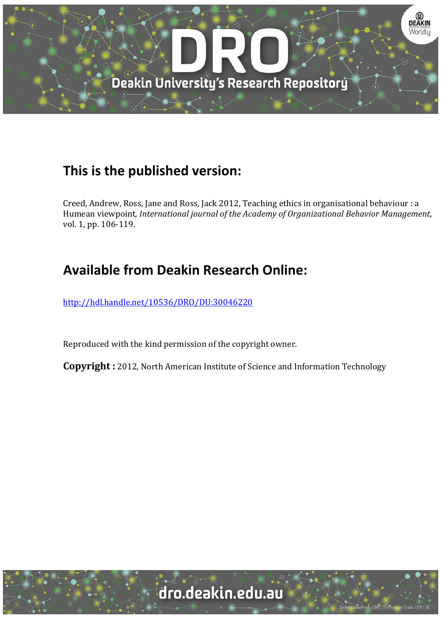

# **This is the published version:**

Creed, Andrew, Ross, Jane and Ross, Jack 2012, Teaching ethics in organisational behaviour : a Humean viewpoint*, International journal of the Academy of Organizational Behavior Management*, vol. 1, pp. 106-119.

# **Available from Deakin Research Online:**

http://hdl.handle.net/10536/DRO/DU:30046220

Reproduced with the kind permission of the copyright owner.

**Copyright** : 2012, North American Institute of Science and Information Technology

University CRICOS Provider Code: 00113E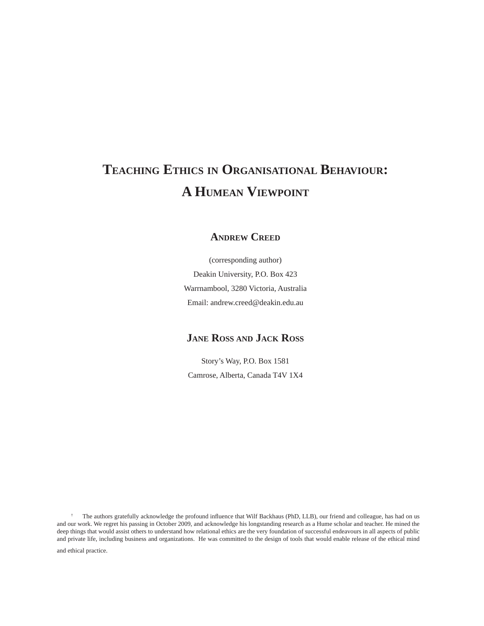# **TEACHING ETHICS IN ORGANISATIONAL BEHAVIOUR: A HUMEAN VIEWPOINT**

#### **ANDREW CREED**

(corresponding author) Deakin University, P.O. Box 423 Warrnambool, 3280 Victoria, Australia Email: andrew.creed@deakin.edu.au

### **JANE ROSS AND JACK ROSS**

Story's Way, P.O. Box 1581 Camrose, Alberta, Canada T4V 1X4

† The authors gratefully acknowledge the profound influence that Wilf Backhaus (PhD, LLB), our friend and colleague, has had on us and our work. We regret his passing in October 2009, and acknowledge his longstanding research as a Hume scholar and teacher. He mined the deep things that would assist others to understand how relational ethics are the very foundation of successful endeavours in all aspects of public and private life, including business and organizations. He was committed to the design of tools that would enable release of the ethical mind and ethical practice.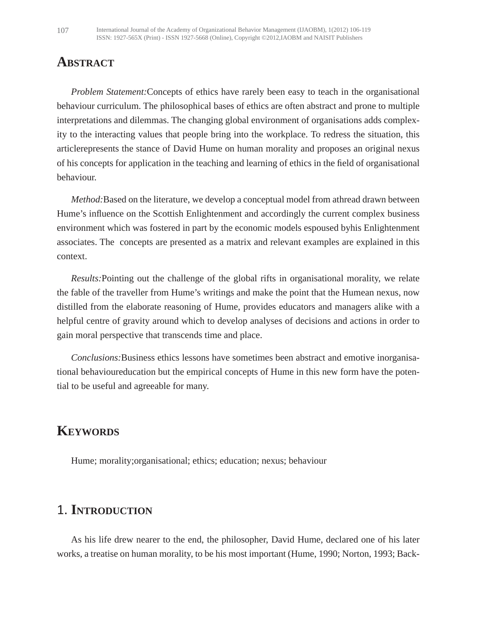## **ABSTRACT**

*Problem Statement:*Concepts of ethics have rarely been easy to teach in the organisational behaviour curriculum. The philosophical bases of ethics are often abstract and prone to multiple interpretations and dilemmas. The changing global environment of organisations adds complexity to the interacting values that people bring into the workplace. To redress the situation, this articlerepresents the stance of David Hume on human morality and proposes an original nexus of his concepts for application in the teaching and learning of ethics in the field of organisational behaviour.

*Method:*Based on the literature, we develop a conceptual model from athread drawn between Hume's influence on the Scottish Enlightenment and accordingly the current complex business environment which was fostered in part by the economic models espoused byhis Enlightenment associates. The concepts are presented as a matrix and relevant examples are explained in this context.

*Results:*Pointing out the challenge of the global rifts in organisational morality, we relate the fable of the traveller from Hume's writings and make the point that the Humean nexus, now distilled from the elaborate reasoning of Hume, provides educators and managers alike with a helpful centre of gravity around which to develop analyses of decisions and actions in order to gain moral perspective that transcends time and place.

*Conclusions:*Business ethics lessons have sometimes been abstract and emotive inorganisational behavioureducation but the empirical concepts of Hume in this new form have the potential to be useful and agreeable for many.

## **KEYWORDS**

Hume; morality;organisational; ethics; education; nexus; behaviour

### 1. **INTRODUCTION**

As his life drew nearer to the end, the philosopher, David Hume, declared one of his later works, a treatise on human morality, to be his most important (Hume, 1990; Norton, 1993; Back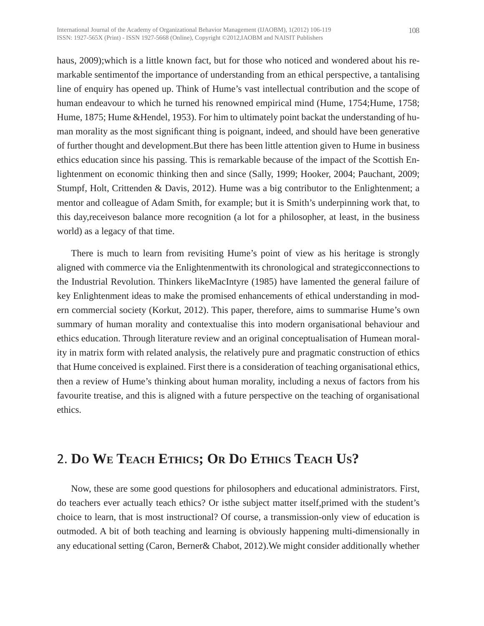haus, 2009);which is a little known fact, but for those who noticed and wondered about his remarkable sentimentof the importance of understanding from an ethical perspective, a tantalising line of enquiry has opened up. Think of Hume's vast intellectual contribution and the scope of human endeavour to which he turned his renowned empirical mind (Hume, 1754; Hume, 1758; Hume, 1875; Hume &Hendel, 1953). For him to ultimately point backat the understanding of human morality as the most significant thing is poignant, indeed, and should have been generative of further thought and development.But there has been little attention given to Hume in business ethics education since his passing. This is remarkable because of the impact of the Scottish Enlightenment on economic thinking then and since (Sally, 1999; Hooker, 2004; Pauchant, 2009; Stumpf, Holt, Crittenden & Davis, 2012). Hume was a big contributor to the Enlightenment; a mentor and colleague of Adam Smith, for example; but it is Smith's underpinning work that, to this day,receiveson balance more recognition (a lot for a philosopher, at least, in the business world) as a legacy of that time.

There is much to learn from revisiting Hume's point of view as his heritage is strongly aligned with commerce via the Enlightenmentwith its chronological and strategicconnections to the Industrial Revolution. Thinkers likeMacIntyre (1985) have lamented the general failure of key Enlightenment ideas to make the promised enhancements of ethical understanding in modern commercial society (Korkut, 2012). This paper, therefore, aims to summarise Hume's own summary of human morality and contextualise this into modern organisational behaviour and ethics education. Through literature review and an original conceptualisation of Humean morality in matrix form with related analysis, the relatively pure and pragmatic construction of ethics that Hume conceived is explained. First there is a consideration of teaching organisational ethics, then a review of Hume's thinking about human morality, including a nexus of factors from his favourite treatise, and this is aligned with a future perspective on the teaching of organisational ethics.

## 2. **DO WE TEACH ETHICS; OR DO ETHICS TEACH US?**

Now, these are some good questions for philosophers and educational administrators. First, do teachers ever actually teach ethics? Or isthe subject matter itself,primed with the student's choice to learn, that is most instructional? Of course, a transmission-only view of education is outmoded. A bit of both teaching and learning is obviously happening multi-dimensionally in any educational setting (Caron, Berner& Chabot, 2012).We might consider additionally whether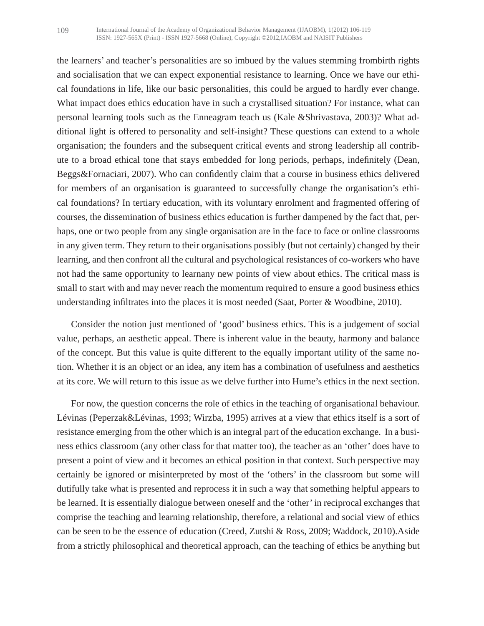the learners' and teacher's personalities are so imbued by the values stemming frombirth rights and socialisation that we can expect exponential resistance to learning. Once we have our ethical foundations in life, like our basic personalities, this could be argued to hardly ever change. What impact does ethics education have in such a crystallised situation? For instance, what can personal learning tools such as the Enneagram teach us (Kale &Shrivastava, 2003)? What additional light is offered to personality and self-insight? These questions can extend to a whole organisation; the founders and the subsequent critical events and strong leadership all contribute to a broad ethical tone that stays embedded for long periods, perhaps, indefinitely (Dean, Beggs& Fornaciari, 2007). Who can confidently claim that a course in business ethics delivered for members of an organisation is guaranteed to successfully change the organisation's ethical foundations? In tertiary education, with its voluntary enrolment and fragmented offering of courses, the dissemination of business ethics education is further dampened by the fact that, perhaps, one or two people from any single organisation are in the face to face or online classrooms in any given term. They return to their organisations possibly (but not certainly) changed by their learning, and then confront all the cultural and psychological resistances of co-workers who have not had the same opportunity to learnany new points of view about ethics. The critical mass is small to start with and may never reach the momentum required to ensure a good business ethics understanding infiltrates into the places it is most needed (Saat, Porter & Woodbine, 2010).

Consider the notion just mentioned of 'good' business ethics. This is a judgement of social value, perhaps, an aesthetic appeal. There is inherent value in the beauty, harmony and balance of the concept. But this value is quite different to the equally important utility of the same notion. Whether it is an object or an idea, any item has a combination of usefulness and aesthetics at its core. We will return to this issue as we delve further into Hume's ethics in the next section.

For now, the question concerns the role of ethics in the teaching of organisational behaviour. Lévinas (Peperzak&Lévinas, 1993; Wirzba, 1995) arrives at a view that ethics itself is a sort of resistance emerging from the other which is an integral part of the education exchange. In a business ethics classroom (any other class for that matter too), the teacher as an 'other' does have to present a point of view and it becomes an ethical position in that context. Such perspective may certainly be ignored or misinterpreted by most of the 'others' in the classroom but some will dutifully take what is presented and reprocess it in such a way that something helpful appears to be learned. It is essentially dialogue between oneself and the 'other' in reciprocal exchanges that comprise the teaching and learning relationship, therefore, a relational and social view of ethics can be seen to be the essence of education (Creed, Zutshi & Ross, 2009; Waddock, 2010).Aside from a strictly philosophical and theoretical approach, can the teaching of ethics be anything but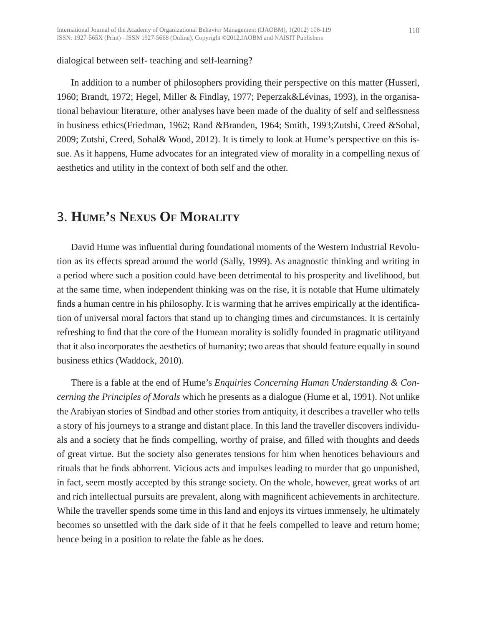#### dialogical between self- teaching and self-learning?

In addition to a number of philosophers providing their perspective on this matter (Husserl, 1960; Brandt, 1972; Hegel, Miller & Findlay, 1977; Peperzak&Lévinas, 1993), in the organisational behaviour literature, other analyses have been made of the duality of self and selflessness in business ethics(Friedman, 1962; Rand &Branden, 1964; Smith, 1993;Zutshi, Creed &Sohal, 2009; Zutshi, Creed, Sohal& Wood, 2012). It is timely to look at Hume's perspective on this issue. As it happens, Hume advocates for an integrated view of morality in a compelling nexus of aesthetics and utility in the context of both self and the other.

### 3. **HUME'S NEXUS OF MORALITY**

David Hume was influential during foundational moments of the Western Industrial Revolution as its effects spread around the world (Sally, 1999). As anagnostic thinking and writing in a period where such a position could have been detrimental to his prosperity and livelihood, but at the same time, when independent thinking was on the rise, it is notable that Hume ultimately finds a human centre in his philosophy. It is warming that he arrives empirically at the identification of universal moral factors that stand up to changing times and circumstances. It is certainly refreshing to find that the core of the Humean morality is solidly founded in pragmatic utilityand that it also incorporates the aesthetics of humanity; two areas that should feature equally in sound business ethics (Waddock, 2010).

There is a fable at the end of Hume's *Enquiries Concerning Human Understanding & Concerning the Principles of Morals* which he presents as a dialogue (Hume et al, 1991). Not unlike the Arabiyan stories of Sindbad and other stories from antiquity, it describes a traveller who tells a story of his journeys to a strange and distant place. In this land the traveller discovers individuals and a society that he finds compelling, worthy of praise, and filled with thoughts and deeds of great virtue. But the society also generates tensions for him when henotices behaviours and rituals that he finds abhorrent. Vicious acts and impulses leading to murder that go unpunished, in fact, seem mostly accepted by this strange society. On the whole, however, great works of art and rich intellectual pursuits are prevalent, along with magnificent achievements in architecture. While the traveller spends some time in this land and enjoys its virtues immensely, he ultimately becomes so unsettled with the dark side of it that he feels compelled to leave and return home; hence being in a position to relate the fable as he does.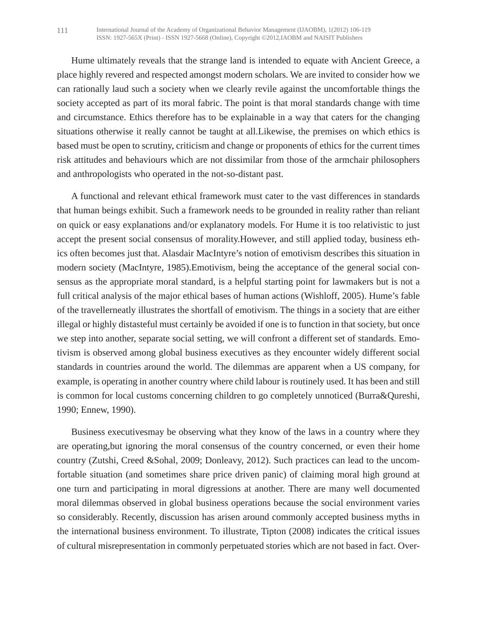Hume ultimately reveals that the strange land is intended to equate with Ancient Greece, a place highly revered and respected amongst modern scholars. We are invited to consider how we can rationally laud such a society when we clearly revile against the uncomfortable things the society accepted as part of its moral fabric. The point is that moral standards change with time and circumstance. Ethics therefore has to be explainable in a way that caters for the changing situations otherwise it really cannot be taught at all.Likewise, the premises on which ethics is based must be open to scrutiny, criticism and change or proponents of ethics for the current times risk attitudes and behaviours which are not dissimilar from those of the armchair philosophers and anthropologists who operated in the not-so-distant past.

A functional and relevant ethical framework must cater to the vast differences in standards that human beings exhibit. Such a framework needs to be grounded in reality rather than reliant on quick or easy explanations and/or explanatory models. For Hume it is too relativistic to just accept the present social consensus of morality.However, and still applied today, business ethics often becomes just that. Alasdair MacIntyre's notion of emotivism describes this situation in modern society (MacIntyre, 1985).Emotivism, being the acceptance of the general social consensus as the appropriate moral standard, is a helpful starting point for lawmakers but is not a full critical analysis of the major ethical bases of human actions (Wishloff, 2005). Hume's fable of the travellerneatly illustrates the shortfall of emotivism. The things in a society that are either illegal or highly distasteful must certainly be avoided if one is to function in that society, but once we step into another, separate social setting, we will confront a different set of standards. Emotivism is observed among global business executives as they encounter widely different social standards in countries around the world. The dilemmas are apparent when a US company, for example, is operating in another country where child labour is routinely used. It has been and still is common for local customs concerning children to go completely unnoticed (Burra&Qureshi, 1990; Ennew, 1990).

Business executivesmay be observing what they know of the laws in a country where they are operating,but ignoring the moral consensus of the country concerned, or even their home country (Zutshi, Creed &Sohal, 2009; Donleavy, 2012). Such practices can lead to the uncomfortable situation (and sometimes share price driven panic) of claiming moral high ground at one turn and participating in moral digressions at another. There are many well documented moral dilemmas observed in global business operations because the social environment varies so considerably. Recently, discussion has arisen around commonly accepted business myths in the international business environment. To illustrate, Tipton (2008) indicates the critical issues of cultural misrepresentation in commonly perpetuated stories which are not based in fact. Over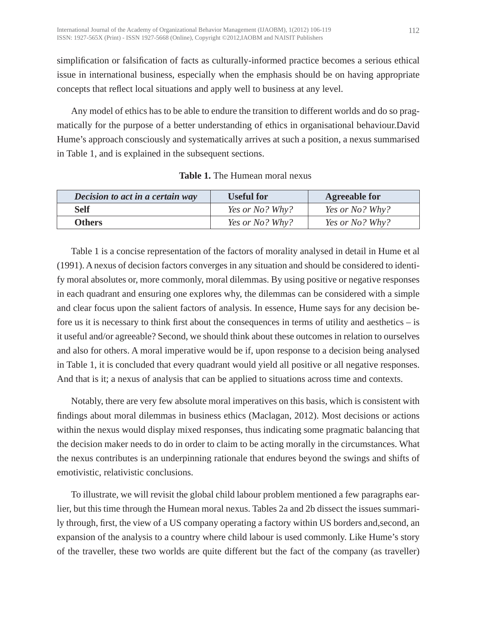simplification or falsification of facts as culturally-informed practice becomes a serious ethical issue in international business, especially when the emphasis should be on having appropriate concepts that reflect local situations and apply well to business at any level.

Any model of ethics has to be able to endure the transition to different worlds and do so pragmatically for the purpose of a better understanding of ethics in organisational behaviour.David Hume's approach consciously and systematically arrives at such a position, a nexus summarised in Table 1, and is explained in the subsequent sections.

| Decision to act in a certain way | <b>Useful for</b> | <b>Agreeable for</b>   |
|----------------------------------|-------------------|------------------------|
| <b>Self</b>                      | Yes or No? Why?   | <i>Yes or No? Why?</i> |
| <b>Others</b>                    | Yes or No? Why?   | Yes or No? Why?        |

**Table 1.** The Humean moral nexus

Table 1 is a concise representation of the factors of morality analysed in detail in Hume et al (1991). A nexus of decision factors converges in any situation and should be considered to identify moral absolutes or, more commonly, moral dilemmas. By using positive or negative responses in each quadrant and ensuring one explores why, the dilemmas can be considered with a simple and clear focus upon the salient factors of analysis. In essence, Hume says for any decision before us it is necessary to think first about the consequences in terms of utility and aesthetics – is it useful and/or agreeable? Second, we should think about these outcomes in relation to ourselves and also for others. A moral imperative would be if, upon response to a decision being analysed in Table 1, it is concluded that every quadrant would yield all positive or all negative responses. And that is it; a nexus of analysis that can be applied to situations across time and contexts.

Notably, there are very few absolute moral imperatives on this basis, which is consistent with findings about moral dilemmas in business ethics (Maclagan, 2012). Most decisions or actions within the nexus would display mixed responses, thus indicating some pragmatic balancing that the decision maker needs to do in order to claim to be acting morally in the circumstances. What the nexus contributes is an underpinning rationale that endures beyond the swings and shifts of emotivistic, relativistic conclusions.

To illustrate, we will revisit the global child labour problem mentioned a few paragraphs earlier, but this time through the Humean moral nexus. Tables 2a and 2b dissect the issues summarily through, first, the view of a US company operating a factory within US borders and,second, an expansion of the analysis to a country where child labour is used commonly. Like Hume's story of the traveller, these two worlds are quite different but the fact of the company (as traveller)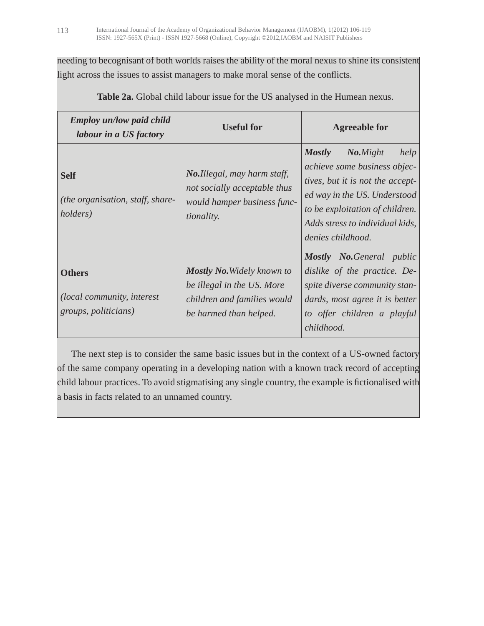needing to becognisant of both worlds raises the ability of the moral nexus to shine its consistent light across the issues to assist managers to make moral sense of the conflicts.

| <b>Employ un/low paid child</b><br>labour in a US factory           | <b>Useful for</b>                                                                                                        | <b>Agreeable for</b>                                                                                                                                                                                                             |
|---------------------------------------------------------------------|--------------------------------------------------------------------------------------------------------------------------|----------------------------------------------------------------------------------------------------------------------------------------------------------------------------------------------------------------------------------|
| <b>Self</b><br>(the organisation, staff, share-<br><i>holders</i> ) | <b>No.Illegal, may harm staff,</b><br>not socially acceptable thus<br>would hamper business func-<br><i>tionality.</i>   | <b>Mostly</b><br>No.Might<br>help<br>achieve some business objec-<br>tives, but it is not the accept-<br>ed way in the US. Understood<br>to be exploitation of children.<br>Adds stress to individual kids,<br>denies childhood. |
| <b>Others</b><br>(local community, interest<br>groups, politicians) | <b>Mostly No. Widely known to</b><br>be illegal in the US. More<br>children and families would<br>be harmed than helped. | <b>Mostly No. General public</b><br>dislike of the practice. De-<br>spite diverse community stan-<br>dards, most agree it is better<br>to offer children a playful<br>childhood.                                                 |

**Table 2a.** Global child labour issue for the US analysed in the Humean nexus.

The next step is to consider the same basic issues but in the context of a US-owned factory of the same company operating in a developing nation with a known track record of accepting child labour practices. To avoid stigmatising any single country, the example is fictionalised with a basis in facts related to an unnamed country.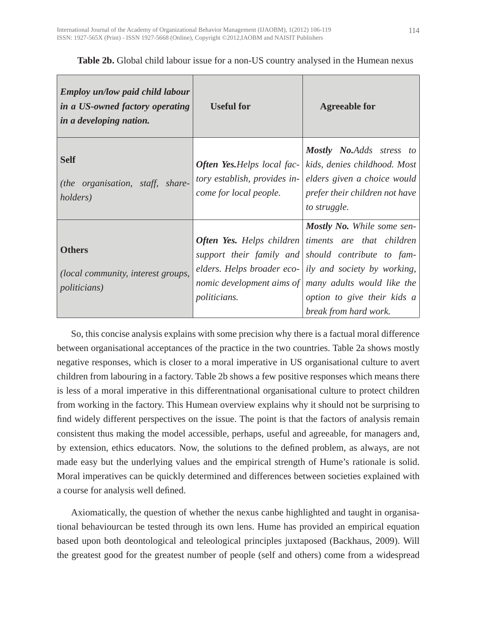| <b>Employ un/low paid child labour</b><br>in a US-owned factory operating<br>in a developing nation. | <b>Useful for</b>                                                                            | <b>Agreeable for</b>                                                                                                                                                                                                                                                                                                                    |
|------------------------------------------------------------------------------------------------------|----------------------------------------------------------------------------------------------|-----------------------------------------------------------------------------------------------------------------------------------------------------------------------------------------------------------------------------------------------------------------------------------------------------------------------------------------|
| <b>Self</b><br>(the organisation, staff, share-<br><i>holders</i> )                                  | <b>Often Yes.</b> Helps local fac-<br>tory establish, provides in-<br>come for local people. | <b>Mostly No.Adds</b> stress to<br>kids, denies childhood. Most<br>elders given a choice would<br>prefer their children not have<br>to struggle.                                                                                                                                                                                        |
| <b>Others</b><br>( <i>local community, interest groups,</i><br><i>politicians</i> )                  | <i>politicians.</i>                                                                          | <b>Mostly No.</b> While some sen-<br><b>Often Yes.</b> Helps children timents are that children<br>support their family and should contribute to fam-<br>elders. Helps broader eco- ily and society by working,<br>nomic development aims of $\vert$ many adults would like the<br>option to give their kids a<br>break from hard work. |

#### **Table 2b.** Global child labour issue for a non-US country analysed in the Humean nexus

So, this concise analysis explains with some precision why there is a factual moral difference between organisational acceptances of the practice in the two countries. Table 2a shows mostly negative responses, which is closer to a moral imperative in US organisational culture to avert children from labouring in a factory. Table 2b shows a few positive responses which means there is less of a moral imperative in this differentnational organisational culture to protect children from working in the factory. This Humean overview explains why it should not be surprising to find widely different perspectives on the issue. The point is that the factors of analysis remain consistent thus making the model accessible, perhaps, useful and agreeable, for managers and, by extension, ethics educators. Now, the solutions to the defined problem, as always, are not made easy but the underlying values and the empirical strength of Hume's rationale is solid. Moral imperatives can be quickly determined and differences between societies explained with a course for analysis well defined.

Axiomatically, the question of whether the nexus canbe highlighted and taught in organisational behaviourcan be tested through its own lens. Hume has provided an empirical equation based upon both deontological and teleological principles juxtaposed (Backhaus, 2009). Will the greatest good for the greatest number of people (self and others) come from a widespread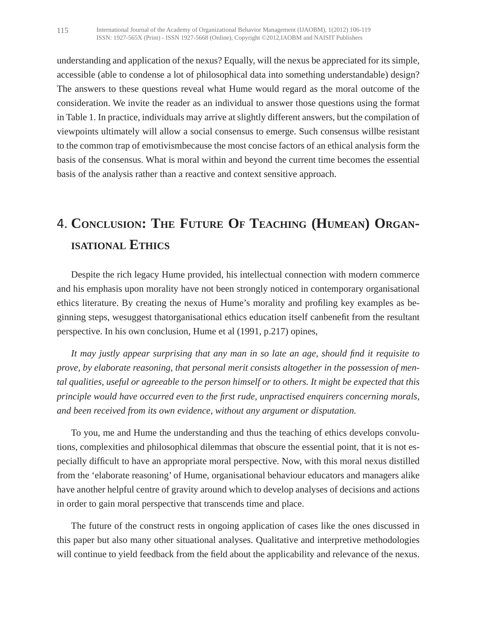understanding and application of the nexus? Equally, will the nexus be appreciated for its simple, accessible (able to condense a lot of philosophical data into something understandable) design? The answers to these questions reveal what Hume would regard as the moral outcome of the consideration. We invite the reader as an individual to answer those questions using the format in Table 1. In practice, individuals may arrive at slightly different answers, but the compilation of viewpoints ultimately will allow a social consensus to emerge. Such consensus willbe resistant to the common trap of emotivismbecause the most concise factors of an ethical analysis form the basis of the consensus. What is moral within and beyond the current time becomes the essential basis of the analysis rather than a reactive and context sensitive approach.

# 4. **CONCLUSION: THE FUTURE OF TEACHING (HUMEAN) ORGAN-ISATIONAL ETHICS**

Despite the rich legacy Hume provided, his intellectual connection with modern commerce and his emphasis upon morality have not been strongly noticed in contemporary organisational ethics literature. By creating the nexus of Hume's morality and profiling key examples as beginning steps, wesuggest thatorganisational ethics education itself canbenefit from the resultant perspective. In his own conclusion, Hume et al (1991, p.217) opines,

*It may justly appear surprising that any man in so late an age, should find it requisite to prove, by elaborate reasoning, that personal merit consists altogether in the possession of mental qualities, useful or agreeable to the person himself or to others. It might be expected that this principle would have occurred even to the first rude, unpractised enquirers concerning morals, and been received from its own evidence, without any argument or disputation.*

To you, me and Hume the understanding and thus the teaching of ethics develops convolutions, complexities and philosophical dilemmas that obscure the essential point, that it is not especially difficult to have an appropriate moral perspective. Now, with this moral nexus distilled from the 'elaborate reasoning' of Hume, organisational behaviour educators and managers alike have another helpful centre of gravity around which to develop analyses of decisions and actions in order to gain moral perspective that transcends time and place.

The future of the construct rests in ongoing application of cases like the ones discussed in this paper but also many other situational analyses. Qualitative and interpretive methodologies will continue to yield feedback from the field about the applicability and relevance of the nexus.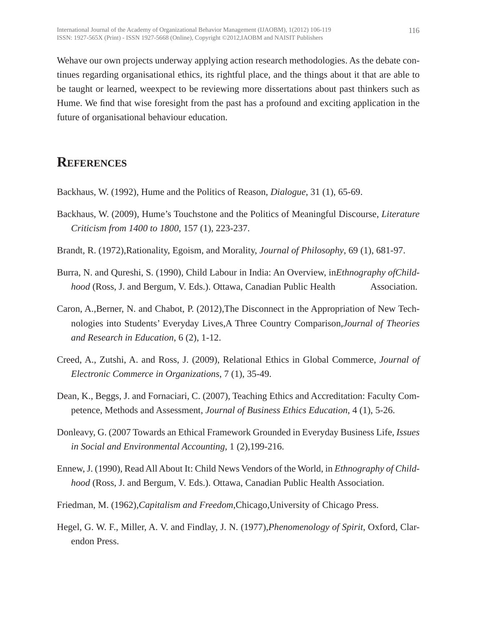Wehave our own projects underway applying action research methodologies. As the debate continues regarding organisational ethics, its rightful place, and the things about it that are able to be taught or learned, weexpect to be reviewing more dissertations about past thinkers such as Hume. We find that wise foresight from the past has a profound and exciting application in the future of organisational behaviour education.

### **REFERENCES**

Backhaus, W. (1992), Hume and the Politics of Reason, *Dialogue*, 31 (1), 65-69.

- Backhaus, W. (2009), Hume's Touchstone and the Politics of Meaningful Discourse, *Literature Criticism from 1400 to 1800*, 157 (1), 223-237.
- Brandt, R. (1972),Rationality, Egoism, and Morality, *Journal of Philosophy*, 69 (1), 681-97.
- Burra, N. and Qureshi, S. (1990), Child Labour in India: An Overview, in*Ethnography ofChildhood* (Ross, J. and Bergum, V. Eds.). Ottawa, Canadian Public Health Association.
- Caron, A.,Berner, N. and Chabot, P. (2012),The Disconnect in the Appropriation of New Technologies into Students' Everyday Lives,A Three Country Comparison,*Journal of Theories and Research in Education*, 6 (2), 1-12.
- Creed, A., Zutshi, A. and Ross, J. (2009), Relational Ethics in Global Commerce, *Journal of Electronic Commerce in Organizations*, 7 (1), 35-49.
- Dean, K., Beggs, J. and Fornaciari, C. (2007), Teaching Ethics and Accreditation: Faculty Competence, Methods and Assessment, *Journal of Business Ethics Education*, 4 (1), 5-26.
- Donleavy, G. (2007 Towards an Ethical Framework Grounded in Everyday Business Life, *Issues in Social and Environmental Accounting*, 1 (2),199-216.
- Ennew, J. (1990), Read All About It: Child News Vendors of the World, in *Ethnography of Childhood* (Ross, J. and Bergum, V. Eds.). Ottawa, Canadian Public Health Association.
- Friedman, M. (1962),*Capitalism and Freedom*,Chicago,University of Chicago Press.
- Hegel, G. W. F., Miller, A. V. and Findlay, J. N. (1977),*Phenomenology of Spirit*, Oxford, Clarendon Press.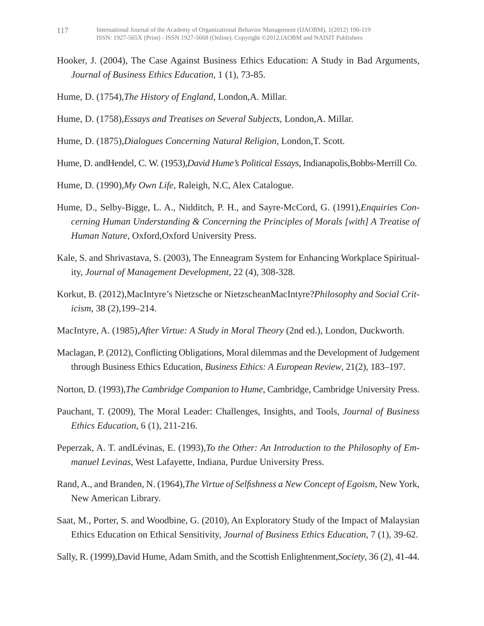- Hooker, J. (2004), The Case Against Business Ethics Education: A Study in Bad Arguments, *Journal of Business Ethics Education*, 1 (1), 73-85.
- Hume, D. (1754),*The History of England*, London,A. Millar.
- Hume, D. (1758),*Essays and Treatises on Several Subjects*, London,A. Millar.
- Hume, D. (1875),*Dialogues Concerning Natural Religion*, London,T. Scott.
- Hume, D. andHendel, C. W. (1953),*David Hume's Political Essays*, Indianapolis,Bobbs-Merrill Co.
- Hume, D. (1990),*My Own Life*, Raleigh, N.C, Alex Catalogue.
- Hume, D., Selby-Bigge, L. A., Nidditch, P. H., and Sayre-McCord, G. (1991),*Enquiries Concerning Human Understanding & Concerning the Principles of Morals [with] A Treatise of Human Nature*, Oxford,Oxford University Press.
- Kale, S. and Shrivastava, S. (2003), The Enneagram System for Enhancing Workplace Spirituality, *Journal of Management Development*, 22 (4), 308-328.
- Korkut, B. (2012),MacIntyre's Nietzsche or NietzscheanMacIntyre?*Philosophy and Social Criticism*, 38 (2),199–214.
- MacIntyre, A. (1985),*After Virtue: A Study in Moral Theory* (2nd ed.), London, Duckworth.
- Maclagan, P. (2012), Conflicting Obligations, Moral dilemmas and the Development of Judgement through Business Ethics Education, *Business Ethics: A European Review*, 21(2), 183–197.
- Norton, D. (1993),*The Cambridge Companion to Hume*, Cambridge, Cambridge University Press.
- Pauchant, T. (2009), The Moral Leader: Challenges, Insights, and Tools, *Journal of Business Ethics Education*, 6 (1), 211-216.
- Peperzak, A. T. andLévinas, E. (1993),*To the Other: An Introduction to the Philosophy of Emmanuel Levinas*, West Lafayette, Indiana, Purdue University Press.
- Rand, A., and Branden, N. (1964),*The Virtue of Selfishness a New Concept of Egoism*, New York, New American Library.
- Saat, M., Porter, S. and Woodbine, G. (2010), An Exploratory Study of the Impact of Malaysian Ethics Education on Ethical Sensitivity, *Journal of Business Ethics Education*, 7 (1), 39-62.

Sally, R. (1999),David Hume, Adam Smith, and the Scottish Enlightenment,*Society*, 36 (2), 41-44.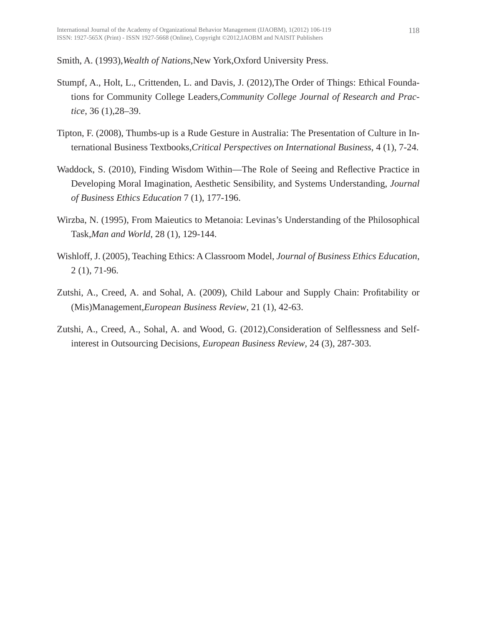Smith, A. (1993),*Wealth of Nations*,New York,Oxford University Press.

- Stumpf, A., Holt, L., Crittenden, L. and Davis, J. (2012),The Order of Things: Ethical Foundations for Community College Leaders,*Community College Journal of Research and Practice*, 36 (1),28–39.
- Tipton, F. (2008), Thumbs-up is a Rude Gesture in Australia: The Presentation of Culture in International Business Textbooks,*Critical Perspectives on International Business*, 4 (1), 7-24.
- Waddock, S. (2010), Finding Wisdom Within—The Role of Seeing and Reflective Practice in Developing Moral Imagination, Aesthetic Sensibility, and Systems Understanding, *Journal of Business Ethics Education* 7 (1), 177-196.
- Wirzba, N. (1995), From Maieutics to Metanoia: Levinas's Understanding of the Philosophical Task,*Man and World*, 28 (1), 129-144.
- Wishloff, J. (2005), Teaching Ethics: A Classroom Model, *Journal of Business Ethics Education*, 2 (1), 71-96.
- Zutshi, A., Creed, A. and Sohal, A. (2009), Child Labour and Supply Chain: Profitability or (Mis)Management,*European Business Review*, 21 (1), 42-63.
- Zutshi, A., Creed, A., Sohal, A. and Wood, G. (2012),Consideration of Selflessness and Selfinterest in Outsourcing Decisions, *European Business Review*, 24 (3), 287-303.